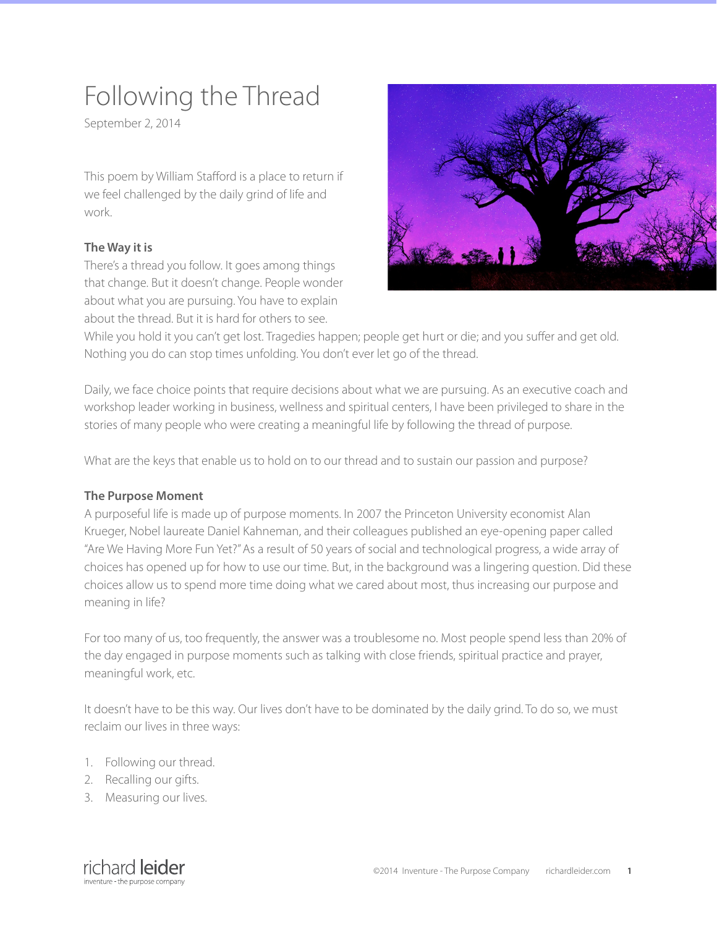# Following the Thread

September 2, 2014

This poem by William Stafford is a place to return if we feel challenged by the daily grind of life and work.

# **The Way it is**

There's a thread you follow. It goes among things that change. But it doesn't change. People wonder about what you are pursuing. You have to explain about the thread. But it is hard for others to see.



While you hold it you can't get lost. Tragedies happen; people get hurt or die; and you suffer and get old. Nothing you do can stop times unfolding. You don't ever let go of the thread.

Daily, we face choice points that require decisions about what we are pursuing. As an executive coach and workshop leader working in business, wellness and spiritual centers, I have been privileged to share in the stories of many people who were creating a meaningful life by following the thread of purpose.

What are the keys that enable us to hold on to our thread and to sustain our passion and purpose?

# **The Purpose Moment**

A purposeful life is made up of purpose moments. In 2007 the Princeton University economist Alan Krueger, Nobel laureate Daniel Kahneman, and their colleagues published an eye-opening paper called "Are We Having More Fun Yet?" As a result of 50 years of social and technological progress, a wide array of choices has opened up for how to use our time. But, in the background was a lingering question. Did these choices allow us to spend more time doing what we cared about most, thus increasing our purpose and meaning in life?

For too many of us, too frequently, the answer was a troublesome no. Most people spend less than 20% of the day engaged in purpose moments such as talking with close friends, spiritual practice and prayer, meaningful work, etc.

It doesn't have to be this way. Our lives don't have to be dominated by the daily grind. To do so, we must reclaim our lives in three ways:

- 1. Following our thread.
- 2. Recalling our gifts.
- 3. Measuring our lives.

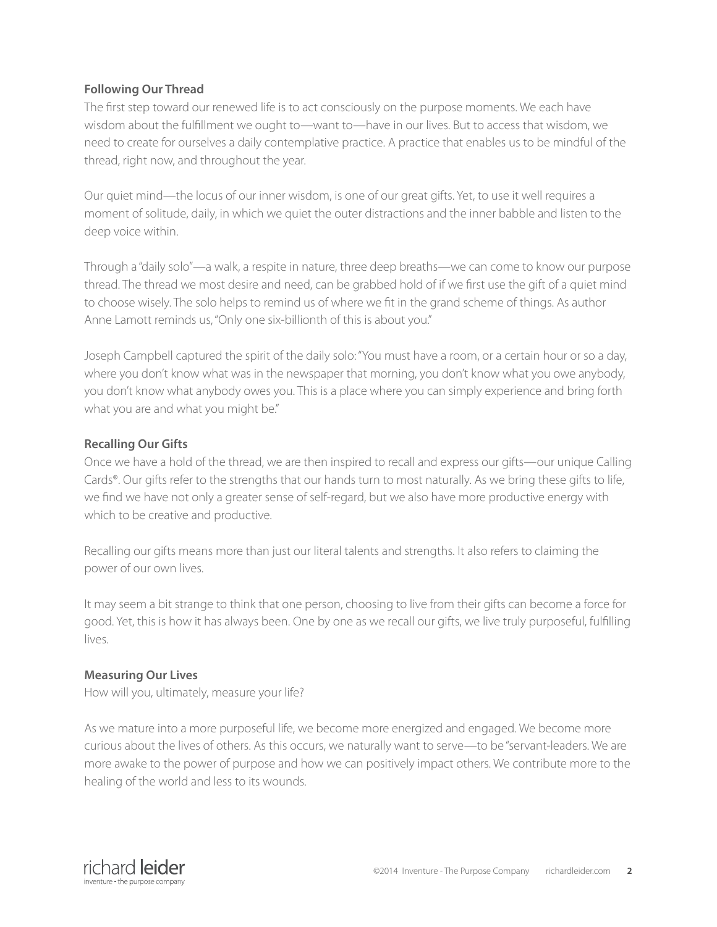## **Following Our Thread**

The first step toward our renewed life is to act consciously on the purpose moments. We each have wisdom about the fulfillment we ought to—want to—have in our lives. But to access that wisdom, we need to create for ourselves a daily contemplative practice. A practice that enables us to be mindful of the thread, right now, and throughout the year.

Our quiet mind—the locus of our inner wisdom, is one of our great gifts. Yet, to use it well requires a moment of solitude, daily, in which we quiet the outer distractions and the inner babble and listen to the deep voice within.

Through a "daily solo"—a walk, a respite in nature, three deep breaths—we can come to know our purpose thread. The thread we most desire and need, can be grabbed hold of if we first use the gift of a quiet mind to choose wisely. The solo helps to remind us of where we fit in the grand scheme of things. As author Anne Lamott reminds us, "Only one six-billionth of this is about you."

Joseph Campbell captured the spirit of the daily solo: "You must have a room, or a certain hour or so a day, where you don't know what was in the newspaper that morning, you don't know what you owe anybody, you don't know what anybody owes you. This is a place where you can simply experience and bring forth what you are and what you might be."

### **Recalling Our Gifts**

Once we have a hold of the thread, we are then inspired to recall and express our gifts—our unique Calling Cards®. Our gifts refer to the strengths that our hands turn to most naturally. As we bring these gifts to life, we find we have not only a greater sense of self-regard, but we also have more productive energy with which to be creative and productive.

Recalling our gifts means more than just our literal talents and strengths. It also refers to claiming the power of our own lives.

It may seem a bit strange to think that one person, choosing to live from their gifts can become a force for good. Yet, this is how it has always been. One by one as we recall our gifts, we live truly purposeful, fulfilling lives.

### **Measuring Our Lives**

How will you, ultimately, measure your life?

As we mature into a more purposeful life, we become more energized and engaged. We become more curious about the lives of others. As this occurs, we naturally want to serve—to be "servant-leaders. We are more awake to the power of purpose and how we can positively impact others. We contribute more to the healing of the world and less to its wounds.